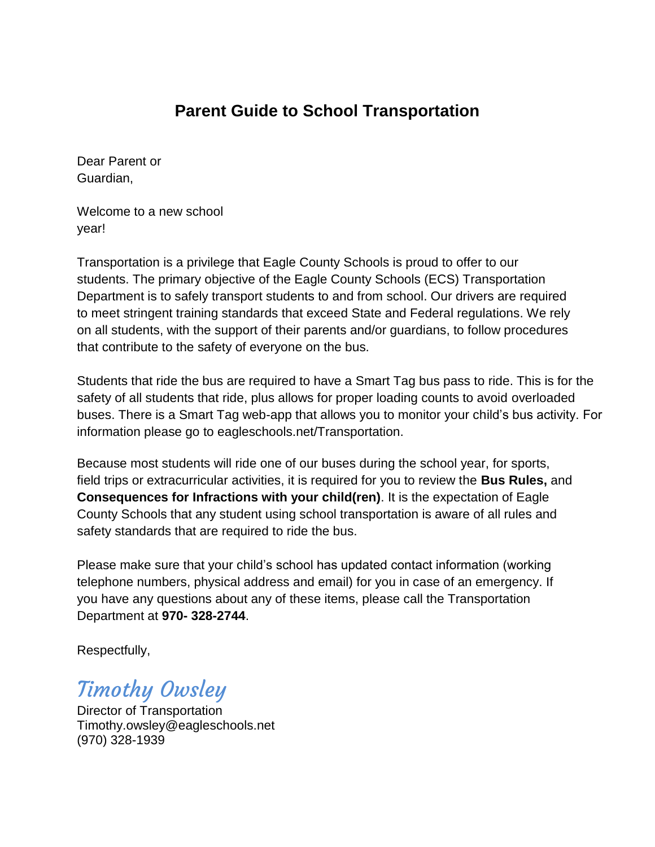# **Parent Guide to School Transportation**

Dear Parent or Guardian,

Welcome to a new school year!

Transportation is a privilege that Eagle County Schools is proud to offer to our students. The primary objective of the Eagle County Schools (ECS) Transportation Department is to safely transport students to and from school. Our drivers are required to meet stringent training standards that exceed State and Federal regulations. We rely on all students, with the support of their parents and/or guardians, to follow procedures that contribute to the safety of everyone on the bus.

Students that ride the bus are required to have a Smart Tag bus pass to ride. This is for the safety of all students that ride, plus allows for proper loading counts to avoid overloaded buses. There is a Smart Tag web-app that allows you to monitor your child's bus activity. For information please go to eagleschools.net/Transportation.

Because most students will ride one of our buses during the school year, for sports, field trips or extracurricular activities, it is required for you to review the **Bus Rules,** and **Consequences for Infractions with your child(ren)**. It is the expectation of Eagle County Schools that any student using school transportation is aware of all rules and safety standards that are required to ride the bus.

Please make sure that your child's school has updated contact information (working telephone numbers, physical address and email) for you in case of an emergency. If you have any questions about any of these items, please call the Transportation Department at **970- 328-2744**.

Respectfully,

# Timothy Owsley

Director of Transportation Timothy.owsley@eagleschools.net (970) 328-1939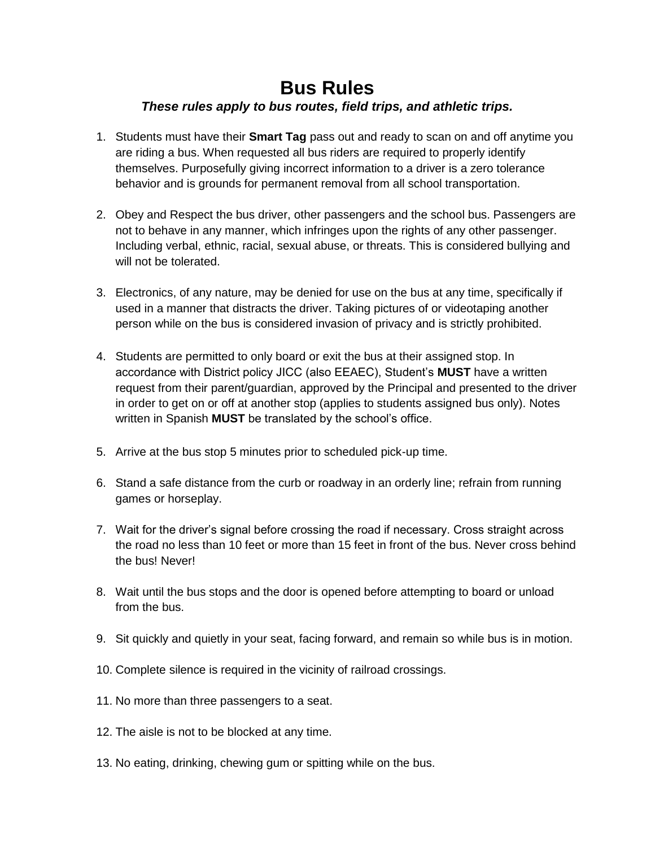# **Bus Rules**

### *These rules apply to bus routes, field trips, and athletic trips.*

- 1. Students must have their **Smart Tag** pass out and ready to scan on and off anytime you are riding a bus. When requested all bus riders are required to properly identify themselves. Purposefully giving incorrect information to a driver is a zero tolerance behavior and is grounds for permanent removal from all school transportation.
- 2. Obey and Respect the bus driver, other passengers and the school bus. Passengers are not to behave in any manner, which infringes upon the rights of any other passenger. Including verbal, ethnic, racial, sexual abuse, or threats. This is considered bullying and will not be tolerated.
- 3. Electronics, of any nature, may be denied for use on the bus at any time, specifically if used in a manner that distracts the driver. Taking pictures of or videotaping another person while on the bus is considered invasion of privacy and is strictly prohibited.
- 4. Students are permitted to only board or exit the bus at their assigned stop. In accordance with District policy JICC (also EEAEC), Student's **MUST** have a written request from their parent/guardian, approved by the Principal and presented to the driver in order to get on or off at another stop (applies to students assigned bus only). Notes written in Spanish **MUST** be translated by the school's office.
- 5. Arrive at the bus stop 5 minutes prior to scheduled pick-up time.
- 6. Stand a safe distance from the curb or roadway in an orderly line; refrain from running games or horseplay.
- 7. Wait for the driver's signal before crossing the road if necessary. Cross straight across the road no less than 10 feet or more than 15 feet in front of the bus. Never cross behind the bus! Never!
- 8. Wait until the bus stops and the door is opened before attempting to board or unload from the bus.
- 9. Sit quickly and quietly in your seat, facing forward, and remain so while bus is in motion.
- 10. Complete silence is required in the vicinity of railroad crossings.
- 11. No more than three passengers to a seat.
- 12. The aisle is not to be blocked at any time.
- 13. No eating, drinking, chewing gum or spitting while on the bus.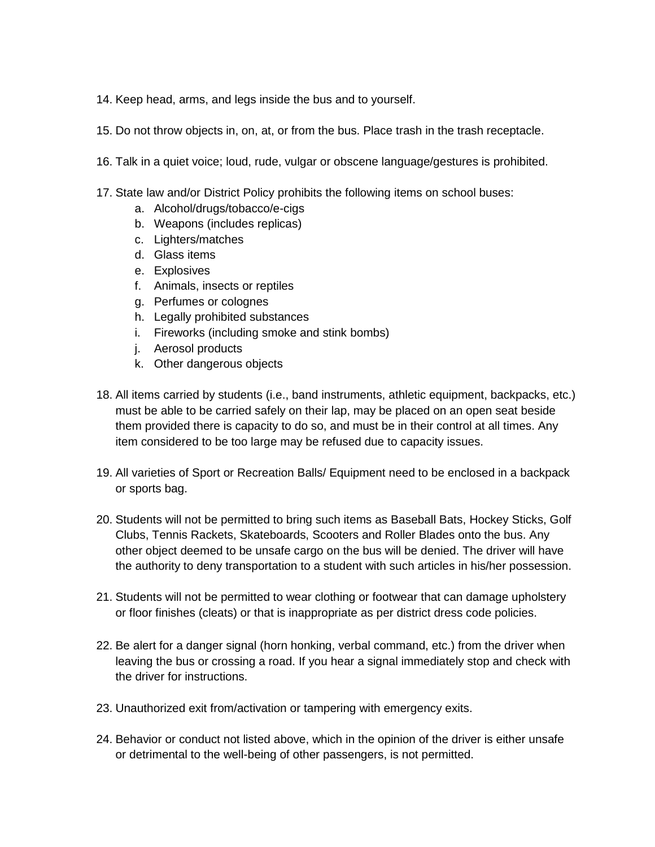- 14. Keep head, arms, and legs inside the bus and to yourself.
- 15. Do not throw objects in, on, at, or from the bus. Place trash in the trash receptacle.
- 16. Talk in a quiet voice; loud, rude, vulgar or obscene language/gestures is prohibited.
- 17. State law and/or District Policy prohibits the following items on school buses:
	- a. Alcohol/drugs/tobacco/e-cigs
	- b. Weapons (includes replicas)
	- c. Lighters/matches
	- d. Glass items
	- e. Explosives
	- f. Animals, insects or reptiles
	- g. Perfumes or colognes
	- h. Legally prohibited substances
	- i. Fireworks (including smoke and stink bombs)
	- j. Aerosol products
	- k. Other dangerous objects
- 18. All items carried by students (i.e., band instruments, athletic equipment, backpacks, etc.) must be able to be carried safely on their lap, may be placed on an open seat beside them provided there is capacity to do so, and must be in their control at all times. Any item considered to be too large may be refused due to capacity issues.
- 19. All varieties of Sport or Recreation Balls/ Equipment need to be enclosed in a backpack or sports bag.
- 20. Students will not be permitted to bring such items as Baseball Bats, Hockey Sticks, Golf Clubs, Tennis Rackets, Skateboards, Scooters and Roller Blades onto the bus. Any other object deemed to be unsafe cargo on the bus will be denied. The driver will have the authority to deny transportation to a student with such articles in his/her possession.
- 21. Students will not be permitted to wear clothing or footwear that can damage upholstery or floor finishes (cleats) or that is inappropriate as per district dress code policies.
- 22. Be alert for a danger signal (horn honking, verbal command, etc.) from the driver when leaving the bus or crossing a road. If you hear a signal immediately stop and check with the driver for instructions.
- 23. Unauthorized exit from/activation or tampering with emergency exits.
- 24. Behavior or conduct not listed above, which in the opinion of the driver is either unsafe or detrimental to the well-being of other passengers, is not permitted.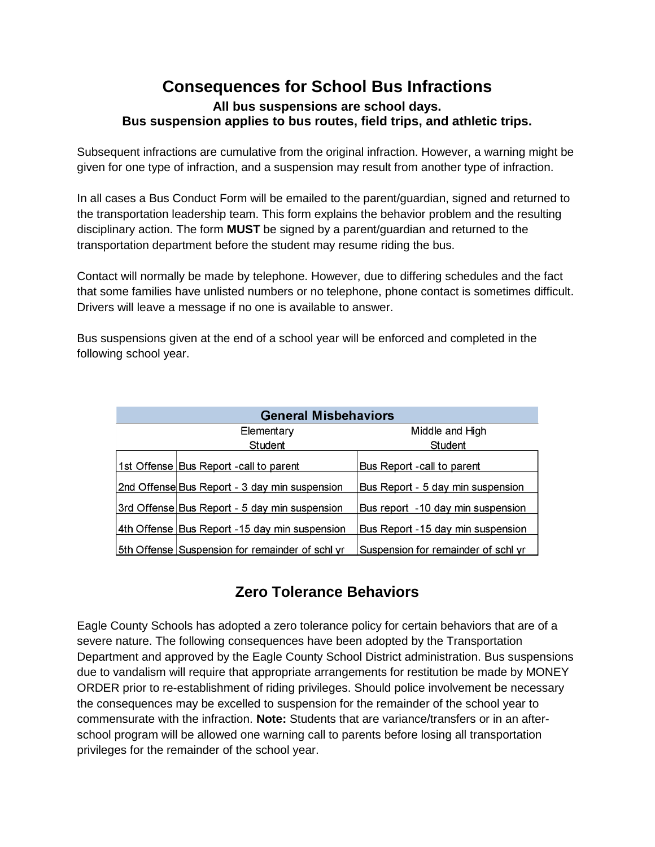### **Consequences for School Bus Infractions All bus suspensions are school days. Bus suspension applies to bus routes, field trips, and athletic trips.**

Subsequent infractions are cumulative from the original infraction. However, a warning might be given for one type of infraction, and a suspension may result from another type of infraction.

In all cases a Bus Conduct Form will be emailed to the parent/guardian, signed and returned to the transportation leadership team. This form explains the behavior problem and the resulting disciplinary action. The form **MUST** be signed by a parent/guardian and returned to the transportation department before the student may resume riding the bus.

Contact will normally be made by telephone. However, due to differing schedules and the fact that some families have unlisted numbers or no telephone, phone contact is sometimes difficult. Drivers will leave a message if no one is available to answer.

Bus suspensions given at the end of a school year will be enforced and completed in the following school year.

| <b>General Misbehaviors</b> |                                                 |                                     |
|-----------------------------|-------------------------------------------------|-------------------------------------|
|                             | Elementary                                      | Middle and High                     |
|                             | Student                                         | Student                             |
|                             | 1st Offense Bus Report - call to parent         | Bus Report - call to parent         |
|                             | 2nd Offense Bus Report - 3 day min suspension   | Bus Report - 5 day min suspension   |
|                             | 3rd Offense Bus Report - 5 day min suspension   | Bus report -10 day min suspension   |
|                             | 4th Offense Bus Report -15 day min suspension   | Bus Report -15 day min suspension   |
|                             | 5th Offense Suspension for remainder of schl yr | Suspension for remainder of schl yr |

## **Zero Tolerance Behaviors**

Eagle County Schools has adopted a zero tolerance policy for certain behaviors that are of a severe nature. The following consequences have been adopted by the Transportation Department and approved by the Eagle County School District administration. Bus suspensions due to vandalism will require that appropriate arrangements for restitution be made by MONEY ORDER prior to re-establishment of riding privileges. Should police involvement be necessary the consequences may be excelled to suspension for the remainder of the school year to commensurate with the infraction. **Note:** Students that are variance/transfers or in an afterschool program will be allowed one warning call to parents before losing all transportation privileges for the remainder of the school year.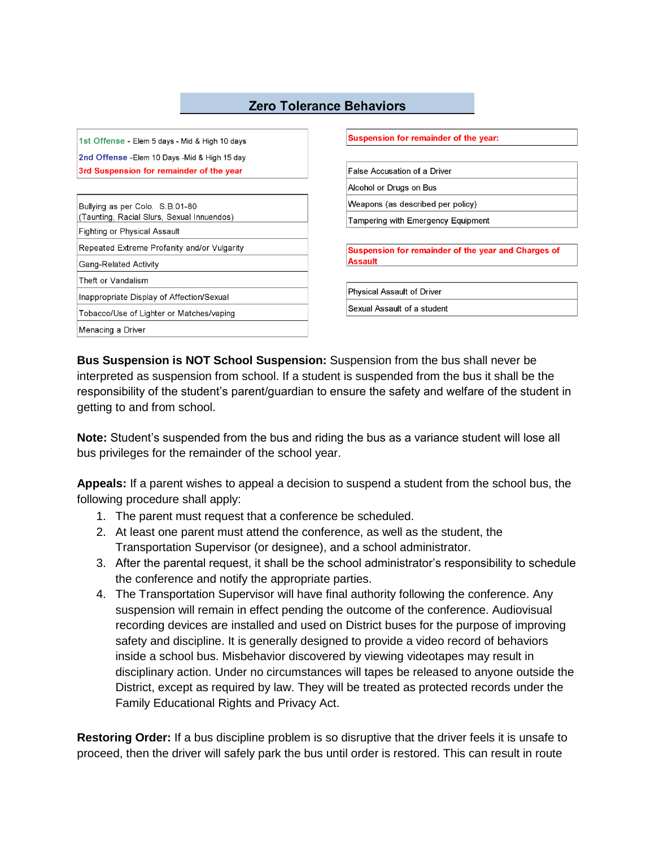#### **Zero Tolerance Behaviors**

1st Offense - Elem 5 days - Mid & High 10 days 2nd Offense - Elem 10 Days - Mid & High 15 day 3rd Suspension for remainder of the year

| Bullying as per Colo. S.B.01-80<br>(Taunting, Racial Slurs, Sexual Innuendos) |  |  |
|-------------------------------------------------------------------------------|--|--|
| Fighting or Physical Assault                                                  |  |  |
| Repeated Extreme Profanity and/or Vulgarity                                   |  |  |
| Gang-Related Activity                                                         |  |  |
| Theft or Vandalism                                                            |  |  |
| Inappropriate Display of Affection/Sexual                                     |  |  |
| Tobacco/Use of Lighter or Matches/vaping                                      |  |  |
| Menacing a Driver                                                             |  |  |

Suspension for remainder of the year:

False Accusation of a Driver Alcohol or Drugs on Bus

Weapons (as described per policy)

Tampering with Emergency Equipment

Suspension for remainder of the year and Charges of **Assault** 

**Physical Assault of Driver** 

Sexual Assault of a student

**Bus Suspension is NOT School Suspension:** Suspension from the bus shall never be interpreted as suspension from school. If a student is suspended from the bus it shall be the responsibility of the student's parent/guardian to ensure the safety and welfare of the student in getting to and from school.

**Note:** Student's suspended from the bus and riding the bus as a variance student will lose all bus privileges for the remainder of the school year.

**Appeals:** If a parent wishes to appeal a decision to suspend a student from the school bus, the following procedure shall apply:

- 1. The parent must request that a conference be scheduled.
- 2. At least one parent must attend the conference, as well as the student, the Transportation Supervisor (or designee), and a school administrator.
- 3. After the parental request, it shall be the school administrator's responsibility to schedule the conference and notify the appropriate parties.
- 4. The Transportation Supervisor will have final authority following the conference. Any suspension will remain in effect pending the outcome of the conference. Audiovisual recording devices are installed and used on District buses for the purpose of improving safety and discipline. It is generally designed to provide a video record of behaviors inside a school bus. Misbehavior discovered by viewing videotapes may result in disciplinary action. Under no circumstances will tapes be released to anyone outside the District, except as required by law. They will be treated as protected records under the Family Educational Rights and Privacy Act.

**Restoring Order:** If a bus discipline problem is so disruptive that the driver feels it is unsafe to proceed, then the driver will safely park the bus until order is restored. This can result in route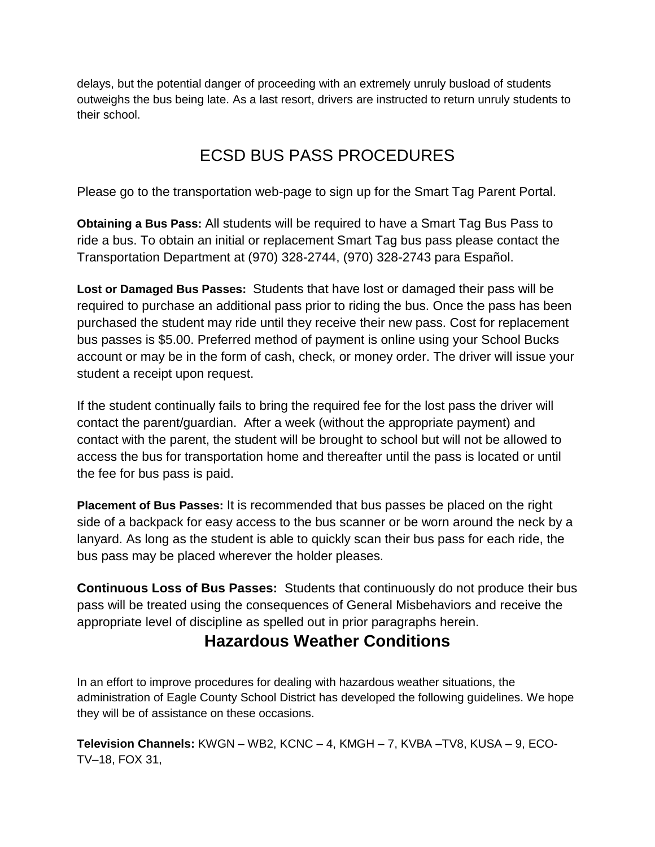delays, but the potential danger of proceeding with an extremely unruly busload of students outweighs the bus being late. As a last resort, drivers are instructed to return unruly students to their school.

# ECSD BUS PASS PROCEDURES

Please go to the transportation web-page to sign up for the Smart Tag Parent Portal.

**Obtaining a Bus Pass:** All students will be required to have a Smart Tag Bus Pass to ride a bus. To obtain an initial or replacement Smart Tag bus pass please contact the Transportation Department at (970) 328-2744, (970) 328-2743 para Español.

**Lost or Damaged Bus Passes:** Students that have lost or damaged their pass will be required to purchase an additional pass prior to riding the bus. Once the pass has been purchased the student may ride until they receive their new pass. Cost for replacement bus passes is \$5.00. Preferred method of payment is online using your School Bucks account or may be in the form of cash, check, or money order. The driver will issue your student a receipt upon request.

If the student continually fails to bring the required fee for the lost pass the driver will contact the parent/guardian. After a week (without the appropriate payment) and contact with the parent, the student will be brought to school but will not be allowed to access the bus for transportation home and thereafter until the pass is located or until the fee for bus pass is paid.

**Placement of Bus Passes:** It is recommended that bus passes be placed on the right side of a backpack for easy access to the bus scanner or be worn around the neck by a lanyard. As long as the student is able to quickly scan their bus pass for each ride, the bus pass may be placed wherever the holder pleases.

**Continuous Loss of Bus Passes:** Students that continuously do not produce their bus pass will be treated using the consequences of General Misbehaviors and receive the appropriate level of discipline as spelled out in prior paragraphs herein.

## **Hazardous Weather Conditions**

In an effort to improve procedures for dealing with hazardous weather situations, the administration of Eagle County School District has developed the following guidelines. We hope they will be of assistance on these occasions.

**Television Channels:** KWGN – WB2, KCNC – 4, KMGH – 7, KVBA –TV8, KUSA – 9, ECO-TV–18, FOX 31,